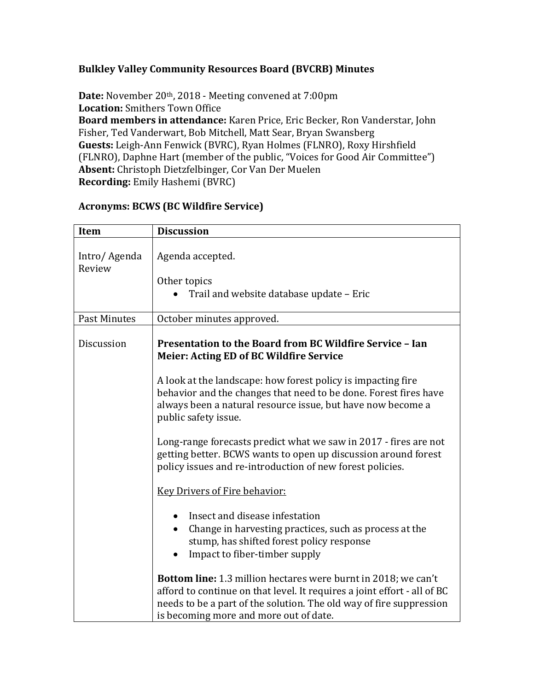## **Bulkley Valley Community Resources Board (BVCRB) Minutes**

**Date:** November 20th, 2018 - Meeting convened at 7:00pm **Location:** Smithers Town Office **Board members in attendance:** Karen Price, Eric Becker, Ron Vanderstar, John Fisher, Ted Vanderwart, Bob Mitchell, Matt Sear, Bryan Swansberg **Guests:** Leigh-Ann Fenwick (BVRC), Ryan Holmes (FLNRO), Roxy Hirshfield (FLNRO), Daphne Hart (member of the public, "Voices for Good Air Committee") **Absent:** Christoph Dietzfelbinger, Cor Van Der Muelen **Recording:** Emily Hashemi (BVRC)

| Item                   | <b>Discussion</b>                                                                                                                                                                                                                                           |  |  |  |
|------------------------|-------------------------------------------------------------------------------------------------------------------------------------------------------------------------------------------------------------------------------------------------------------|--|--|--|
| Intro/Agenda<br>Review | Agenda accepted.<br>Other topics<br>Trail and website database update - Eric                                                                                                                                                                                |  |  |  |
| <b>Past Minutes</b>    | October minutes approved.                                                                                                                                                                                                                                   |  |  |  |
| Discussion             | Presentation to the Board from BC Wildfire Service - Ian<br><b>Meier: Acting ED of BC Wildfire Service</b>                                                                                                                                                  |  |  |  |
|                        | A look at the landscape: how forest policy is impacting fire<br>behavior and the changes that need to be done. Forest fires have<br>always been a natural resource issue, but have now become a<br>public safety issue.                                     |  |  |  |
|                        | Long-range forecasts predict what we saw in 2017 - fires are not<br>getting better. BCWS wants to open up discussion around forest<br>policy issues and re-introduction of new forest policies.                                                             |  |  |  |
|                        | <b>Key Drivers of Fire behavior:</b>                                                                                                                                                                                                                        |  |  |  |
|                        | Insect and disease infestation<br>Change in harvesting practices, such as process at the<br>stump, has shifted forest policy response<br>Impact to fiber-timber supply                                                                                      |  |  |  |
|                        | Bottom line: 1.3 million hectares were burnt in 2018; we can't<br>afford to continue on that level. It requires a joint effort - all of BC<br>needs to be a part of the solution. The old way of fire suppression<br>is becoming more and more out of date. |  |  |  |

### **Acronyms: BCWS (BC Wildfire Service)**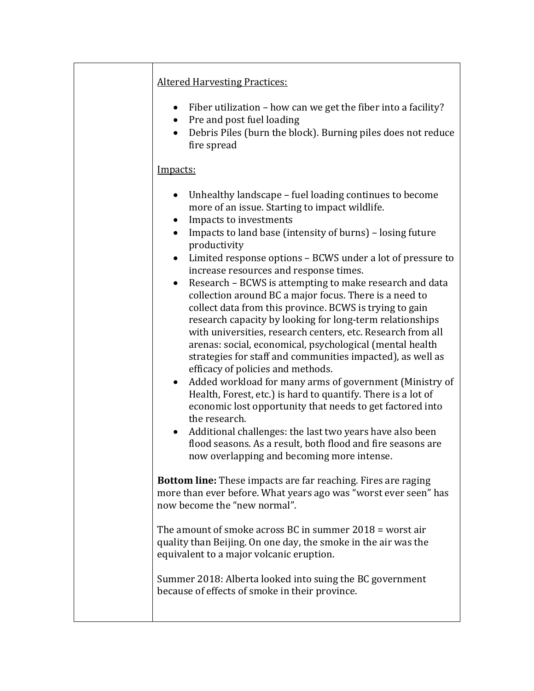## Altered Harvesting Practices:

- $\bullet$  Fiber utilization how can we get the fiber into a facility?
- Pre and post fuel loading
- Debris Piles (burn the block). Burning piles does not reduce fire spread

### Impacts:

- Unhealthy landscape fuel loading continues to become more of an issue. Starting to impact wildlife.
- Impacts to investments
- $\bullet$  Impacts to land base (intensity of burns) losing future productivity
- Limited response options BCWS under a lot of pressure to increase resources and response times.
- Research BCWS is attempting to make research and data collection around BC a major focus. There is a need to collect data from this province. BCWS is trying to gain research capacity by looking for long-term relationships with universities, research centers, etc. Research from all arenas: social, economical, psychological (mental health strategies for staff and communities impacted), as well as efficacy of policies and methods.
- Added workload for many arms of government (Ministry of Health, Forest, etc.) is hard to quantify. There is a lot of economic lost opportunity that needs to get factored into the research.
- Additional challenges: the last two years have also been flood seasons. As a result, both flood and fire seasons are now overlapping and becoming more intense.

**Bottom line:** These impacts are far reaching. Fires are raging more than ever before. What years ago was "worst ever seen" has now become the "new normal".

The amount of smoke across BC in summer 2018 = worst air quality than Beijing. On one day, the smoke in the air was the equivalent to a major volcanic eruption.

Summer 2018: Alberta looked into suing the BC government because of effects of smoke in their province.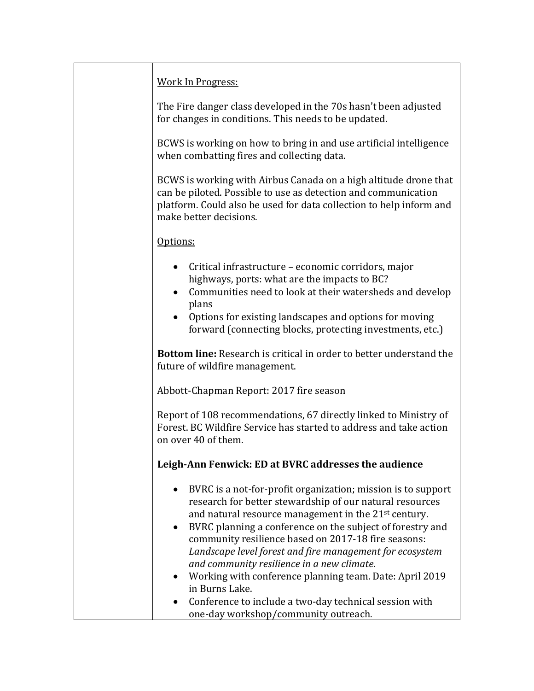| <b>Work In Progress:</b>                                                                                                                                                                                                                                                                                                                                                                                                                                                                                                                                                                                  |
|-----------------------------------------------------------------------------------------------------------------------------------------------------------------------------------------------------------------------------------------------------------------------------------------------------------------------------------------------------------------------------------------------------------------------------------------------------------------------------------------------------------------------------------------------------------------------------------------------------------|
| The Fire danger class developed in the 70s hasn't been adjusted<br>for changes in conditions. This needs to be updated.                                                                                                                                                                                                                                                                                                                                                                                                                                                                                   |
| BCWS is working on how to bring in and use artificial intelligence<br>when combatting fires and collecting data.                                                                                                                                                                                                                                                                                                                                                                                                                                                                                          |
| BCWS is working with Airbus Canada on a high altitude drone that<br>can be piloted. Possible to use as detection and communication<br>platform. Could also be used for data collection to help inform and<br>make better decisions.                                                                                                                                                                                                                                                                                                                                                                       |
| Options:                                                                                                                                                                                                                                                                                                                                                                                                                                                                                                                                                                                                  |
| Critical infrastructure - economic corridors, major<br>highways, ports: what are the impacts to BC?<br>Communities need to look at their watersheds and develop<br>plans<br>Options for existing landscapes and options for moving                                                                                                                                                                                                                                                                                                                                                                        |
| forward (connecting blocks, protecting investments, etc.)                                                                                                                                                                                                                                                                                                                                                                                                                                                                                                                                                 |
| <b>Bottom line:</b> Research is critical in order to better understand the<br>future of wildfire management.                                                                                                                                                                                                                                                                                                                                                                                                                                                                                              |
| Abbott-Chapman Report: 2017 fire season                                                                                                                                                                                                                                                                                                                                                                                                                                                                                                                                                                   |
| Report of 108 recommendations, 67 directly linked to Ministry of<br>Forest. BC Wildfire Service has started to address and take action<br>on over 40 of them.                                                                                                                                                                                                                                                                                                                                                                                                                                             |
| Leigh-Ann Fenwick: ED at BVRC addresses the audience                                                                                                                                                                                                                                                                                                                                                                                                                                                                                                                                                      |
| BVRC is a not-for-profit organization; mission is to support<br>research for better stewardship of our natural resources<br>and natural resource management in the 21 <sup>st</sup> century.<br>BVRC planning a conference on the subject of forestry and<br>community resilience based on 2017-18 fire seasons:<br>Landscape level forest and fire management for ecosystem<br>and community resilience in a new climate.<br>Working with conference planning team. Date: April 2019<br>in Burns Lake.<br>Conference to include a two-day technical session with<br>one-day workshop/community outreach. |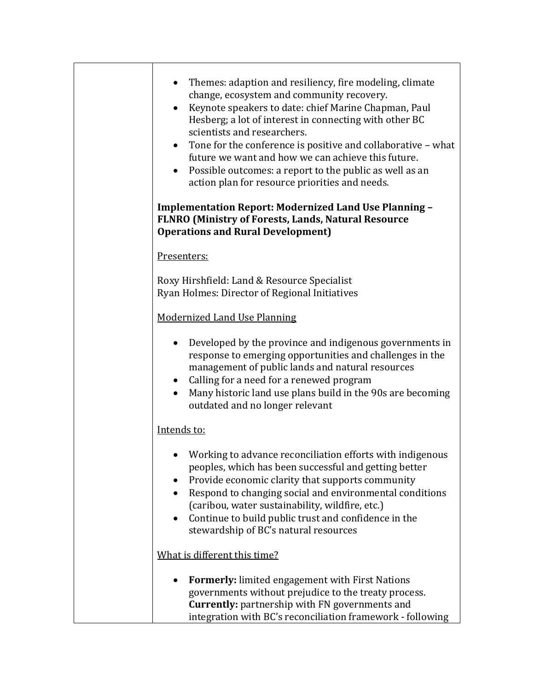| Themes: adaption and resiliency, fire modeling, climate<br>change, ecosystem and community recovery.<br>Keynote speakers to date: chief Marine Chapman, Paul<br>$\bullet$<br>Hesberg; a lot of interest in connecting with other BC<br>scientists and researchers.<br>Tone for the conference is positive and collaborative – what<br>$\bullet$<br>future we want and how we can achieve this future.<br>Possible outcomes: a report to the public as well as an<br>$\bullet$<br>action plan for resource priorities and needs. |  |  |  |  |
|---------------------------------------------------------------------------------------------------------------------------------------------------------------------------------------------------------------------------------------------------------------------------------------------------------------------------------------------------------------------------------------------------------------------------------------------------------------------------------------------------------------------------------|--|--|--|--|
| <b>Implementation Report: Modernized Land Use Planning -</b><br>FLNRO (Ministry of Forests, Lands, Natural Resource<br><b>Operations and Rural Development)</b>                                                                                                                                                                                                                                                                                                                                                                 |  |  |  |  |
| Presenters:                                                                                                                                                                                                                                                                                                                                                                                                                                                                                                                     |  |  |  |  |
| Roxy Hirshfield: Land & Resource Specialist<br>Ryan Holmes: Director of Regional Initiatives                                                                                                                                                                                                                                                                                                                                                                                                                                    |  |  |  |  |
| <b>Modernized Land Use Planning</b>                                                                                                                                                                                                                                                                                                                                                                                                                                                                                             |  |  |  |  |
| Developed by the province and indigenous governments in<br>response to emerging opportunities and challenges in the<br>management of public lands and natural resources<br>• Calling for a need for a renewed program<br>Many historic land use plans build in the 90s are becoming<br>outdated and no longer relevant                                                                                                                                                                                                          |  |  |  |  |
| Intends to:                                                                                                                                                                                                                                                                                                                                                                                                                                                                                                                     |  |  |  |  |
| Working to advance reconciliation efforts with indigenous<br>peoples, which has been successful and getting better<br>Provide economic clarity that supports community<br>Respond to changing social and environmental conditions<br>(caribou, water sustainability, wildfire, etc.)<br>Continue to build public trust and confidence in the<br>stewardship of BC's natural resources                                                                                                                                           |  |  |  |  |
| What is different this time?                                                                                                                                                                                                                                                                                                                                                                                                                                                                                                    |  |  |  |  |
| <b>Formerly:</b> limited engagement with First Nations<br>governments without prejudice to the treaty process.<br><b>Currently:</b> partnership with FN governments and<br>integration with BC's reconciliation framework - following                                                                                                                                                                                                                                                                                           |  |  |  |  |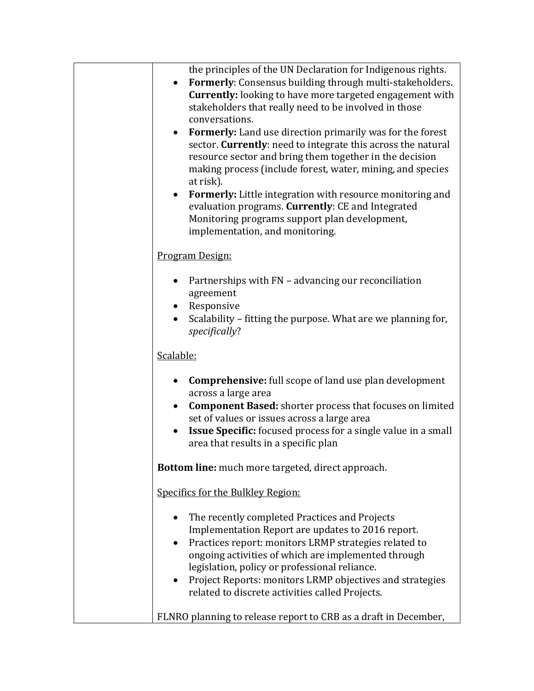| the principles of the UN Declaration for Indigenous rights.<br>Formerly: Consensus building through multi-stakeholders.<br><b>Currently:</b> looking to have more targeted engagement with<br>stakeholders that really need to be involved in those<br>conversations.<br><b>Formerly:</b> Land use direction primarily was for the forest<br>sector. Currently: need to integrate this across the natural<br>resource sector and bring them together in the decision<br>making process (include forest, water, mining, and species<br>at risk).<br>Formerly: Little integration with resource monitoring and<br>$\bullet$<br>evaluation programs. Currently: CE and Integrated<br>Monitoring programs support plan development,<br>implementation, and monitoring. |  |  |  |
|--------------------------------------------------------------------------------------------------------------------------------------------------------------------------------------------------------------------------------------------------------------------------------------------------------------------------------------------------------------------------------------------------------------------------------------------------------------------------------------------------------------------------------------------------------------------------------------------------------------------------------------------------------------------------------------------------------------------------------------------------------------------|--|--|--|
| Program Design:                                                                                                                                                                                                                                                                                                                                                                                                                                                                                                                                                                                                                                                                                                                                                    |  |  |  |
| Partnerships with FN - advancing our reconciliation<br>agreement<br>Responsive<br>Scalability – fitting the purpose. What are we planning for,<br>specifically?                                                                                                                                                                                                                                                                                                                                                                                                                                                                                                                                                                                                    |  |  |  |
| Scalable:                                                                                                                                                                                                                                                                                                                                                                                                                                                                                                                                                                                                                                                                                                                                                          |  |  |  |
| <b>Comprehensive:</b> full scope of land use plan development<br>$\bullet$<br>across a large area<br><b>Component Based:</b> shorter process that focuses on limited<br>$\bullet$<br>set of values or issues across a large area<br><b>Issue Specific:</b> focused process for a single value in a small<br>area that results in a specific plan                                                                                                                                                                                                                                                                                                                                                                                                                   |  |  |  |
| Bottom line: much more targeted, direct approach.                                                                                                                                                                                                                                                                                                                                                                                                                                                                                                                                                                                                                                                                                                                  |  |  |  |
| Specifics for the Bulkley Region:                                                                                                                                                                                                                                                                                                                                                                                                                                                                                                                                                                                                                                                                                                                                  |  |  |  |
| The recently completed Practices and Projects<br>Implementation Report are updates to 2016 report.<br>Practices report: monitors LRMP strategies related to<br>ongoing activities of which are implemented through<br>legislation, policy or professional reliance.<br>Project Reports: monitors LRMP objectives and strategies<br>related to discrete activities called Projects.                                                                                                                                                                                                                                                                                                                                                                                 |  |  |  |
| FLNRO planning to release report to CRB as a draft in December,                                                                                                                                                                                                                                                                                                                                                                                                                                                                                                                                                                                                                                                                                                    |  |  |  |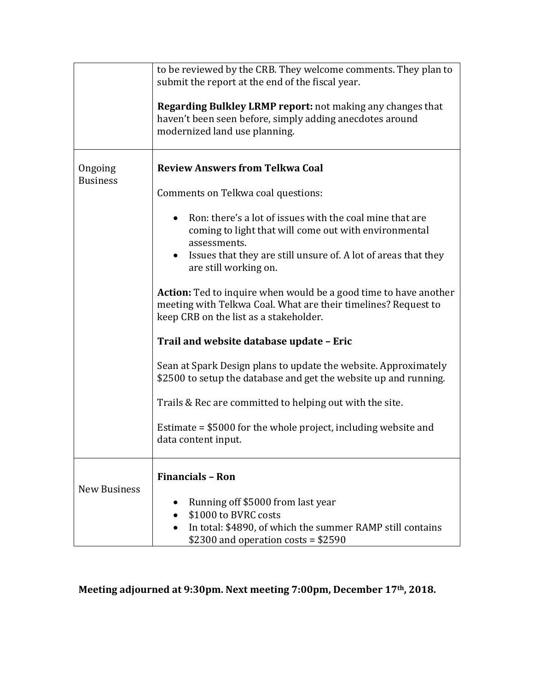|                            | to be reviewed by the CRB. They welcome comments. They plan to<br>submit the report at the end of the fiscal year.<br><b>Regarding Bulkley LRMP report:</b> not making any changes that<br>haven't been seen before, simply adding anecdotes around<br>modernized land use planning.                                                                                                                                                                                                                                                                                                                                                                                                                                                                                                                                                         |  |  |  |
|----------------------------|----------------------------------------------------------------------------------------------------------------------------------------------------------------------------------------------------------------------------------------------------------------------------------------------------------------------------------------------------------------------------------------------------------------------------------------------------------------------------------------------------------------------------------------------------------------------------------------------------------------------------------------------------------------------------------------------------------------------------------------------------------------------------------------------------------------------------------------------|--|--|--|
| Ongoing<br><b>Business</b> | <b>Review Answers from Telkwa Coal</b><br>Comments on Telkwa coal questions:<br>Ron: there's a lot of issues with the coal mine that are<br>coming to light that will come out with environmental<br>assessments.<br>Issues that they are still unsure of. A lot of areas that they<br>are still working on.<br><b>Action:</b> Ted to inquire when would be a good time to have another<br>meeting with Telkwa Coal. What are their timelines? Request to<br>keep CRB on the list as a stakeholder.<br>Trail and website database update - Eric<br>Sean at Spark Design plans to update the website. Approximately<br>\$2500 to setup the database and get the website up and running.<br>Trails & Rec are committed to helping out with the site.<br>Estimate $= $5000$ for the whole project, including website and<br>data content input. |  |  |  |
| <b>New Business</b>        | <b>Financials - Ron</b><br>Running off \$5000 from last year<br>\$1000 to BVRC costs<br>In total: \$4890, of which the summer RAMP still contains<br>\$2300 and operation costs = $$2590$                                                                                                                                                                                                                                                                                                                                                                                                                                                                                                                                                                                                                                                    |  |  |  |

**Meeting adjourned at 9:30pm. Next meeting 7:00pm, December 17th, 2018.**